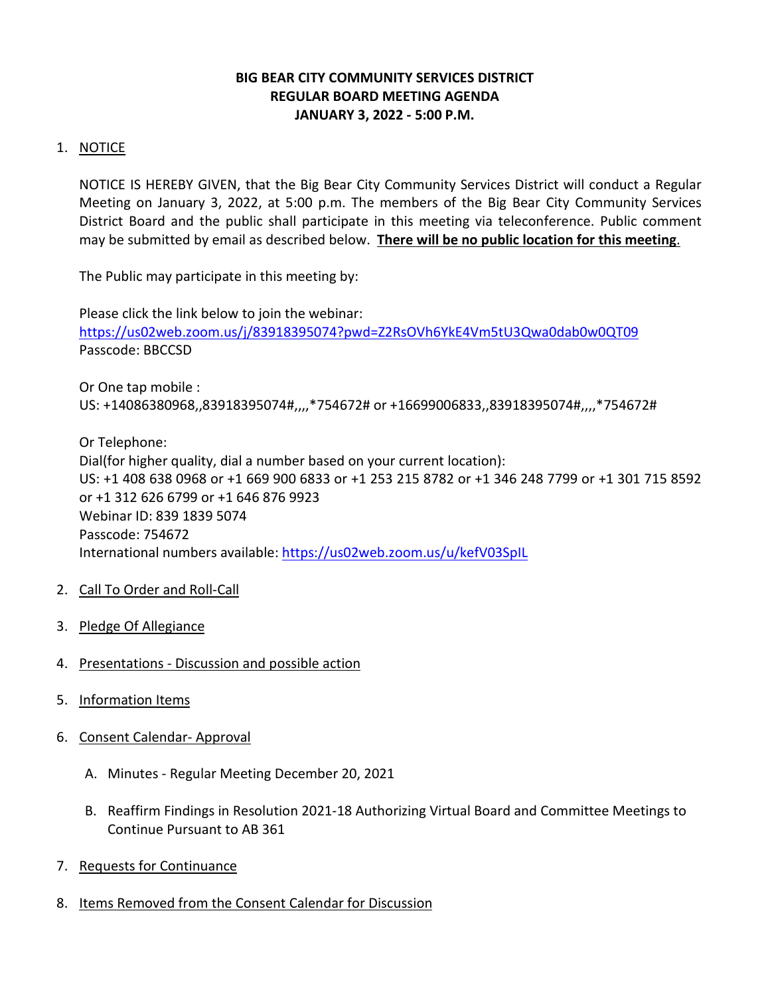# **BIG BEAR CITY COMMUNITY SERVICES DISTRICT REGULAR BOARD MEETING AGENDA JANUARY 3, 2022 - 5:00 P.M.**

# 1. NOTICE

NOTICE IS HEREBY GIVEN, that the Big Bear City Community Services District will conduct a Regular Meeting on January 3, 2022, at 5:00 p.m. The members of the Big Bear City Community Services District Board and the public shall participate in this meeting via teleconference. Public comment may be submitted by email as described below. **There will be no public location for this meeting**.

The Public may participate in this meeting by:

Please click the link below to join the webinar: <https://us02web.zoom.us/j/83918395074?pwd=Z2RsOVh6YkE4Vm5tU3Qwa0dab0w0QT09> Passcode: BBCCSD

Or One tap mobile : US: +14086380968,,83918395074#,,,,\*754672# or +16699006833,,83918395074#,,,,\*754672#

Or Telephone: Dial(for higher quality, dial a number based on your current location): US: +1 408 638 0968 or +1 669 900 6833 or +1 253 215 8782 or +1 346 248 7799 or +1 301 715 8592 or +1 312 626 6799 or +1 646 876 9923 Webinar ID: 839 1839 5074 Passcode: 754672 International numbers available:<https://us02web.zoom.us/u/kefV03SpIL>

- 2. Call To Order and Roll-Call
- 3. Pledge Of Allegiance
- 4. Presentations Discussion and possible action
- 5. Information Items
- 6. Consent Calendar- Approval
	- A. Minutes Regular Meeting December 20, 2021
	- B. Reaffirm Findings in Resolution 2021-18 Authorizing Virtual Board and Committee Meetings to Continue Pursuant to AB 361
- 7. Requests for Continuance
- 8. Items Removed from the Consent Calendar for Discussion